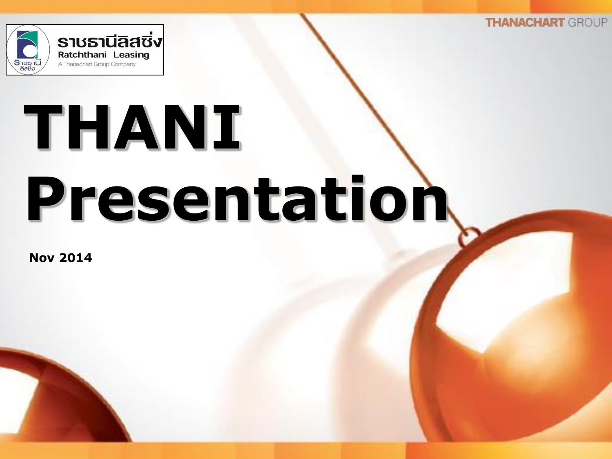

# **THANI Presentation**

**Nov 2014**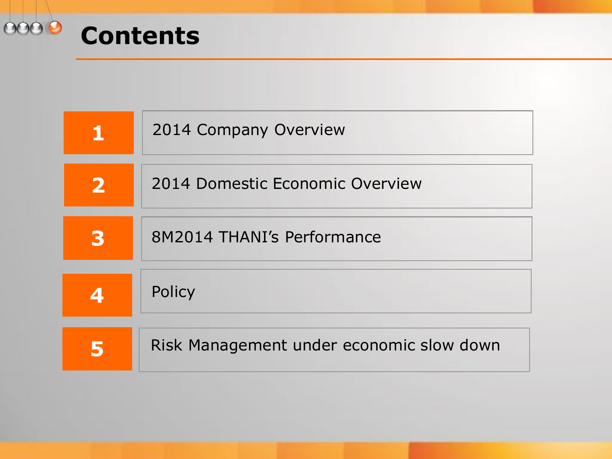

|                         | 2014 Company Overview                    |
|-------------------------|------------------------------------------|
| $\overline{\mathbf{2}}$ | 2014 Domestic Economic Overview          |
| 3                       | 8M2014 THANI's Performance               |
| 4                       | Policy                                   |
|                         | Risk Management under economic slow down |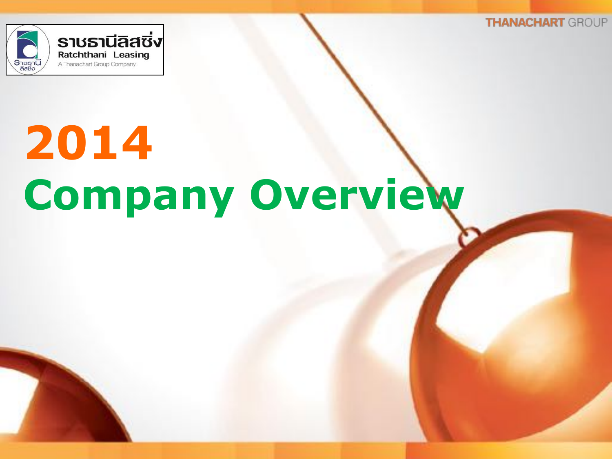

## **2014 Company Overview**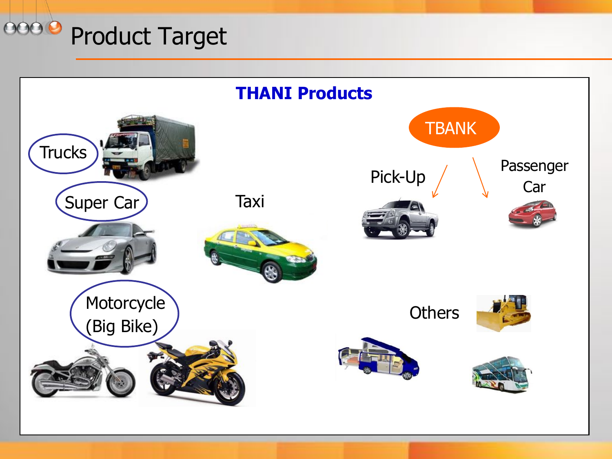

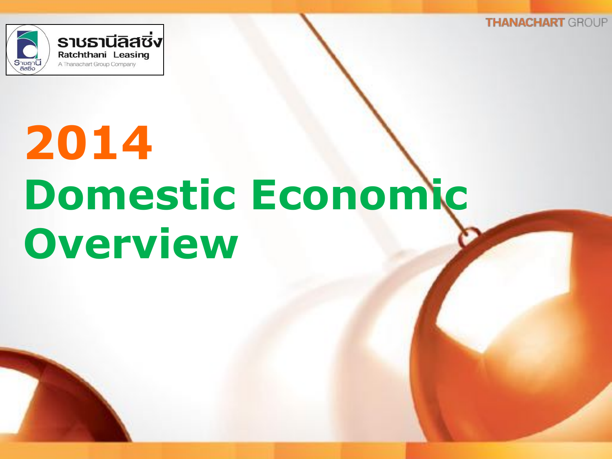

## **2014 Domestic Economic Overview**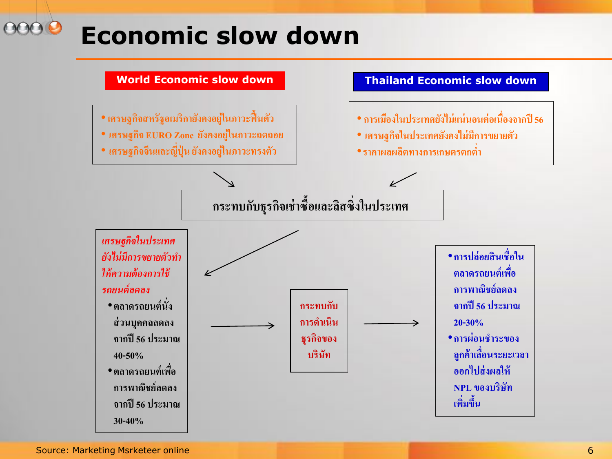### **Economic slow down**



Source: Marketing Msrketeer online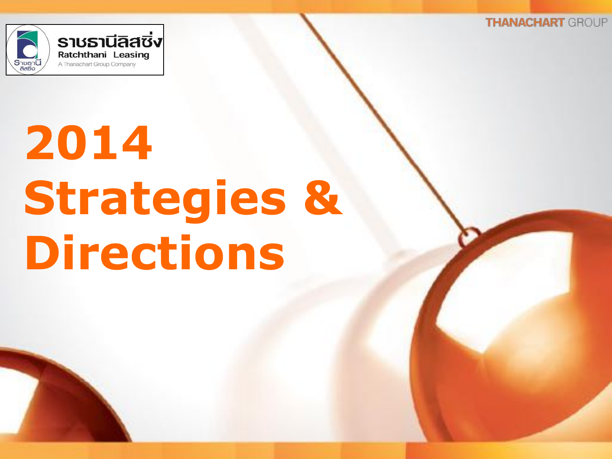

## **2014 Strategies & Directions**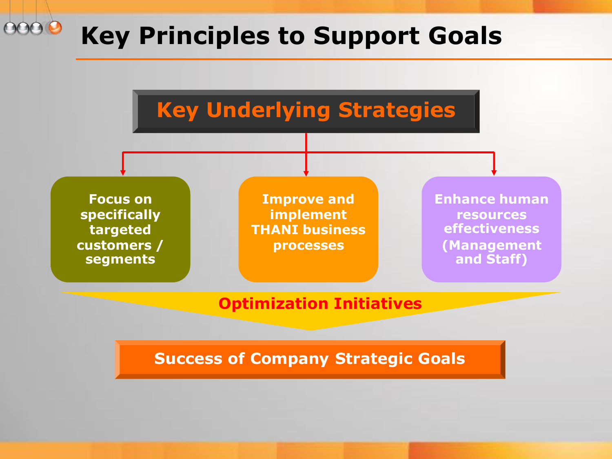#### 00 **Key Principles to Support Goals**



**Success of Company Strategic Goals**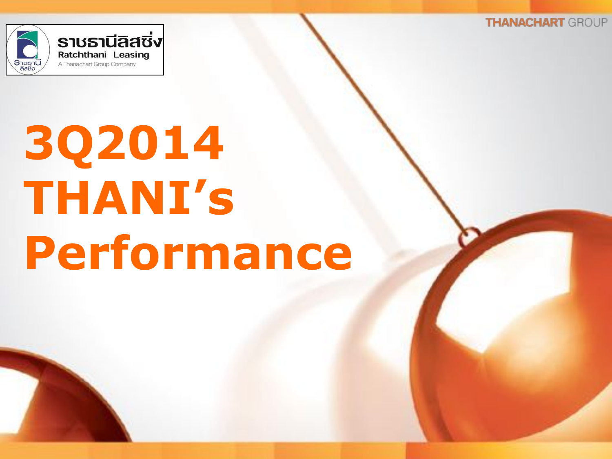

## **3Q2014 THANI's Performance**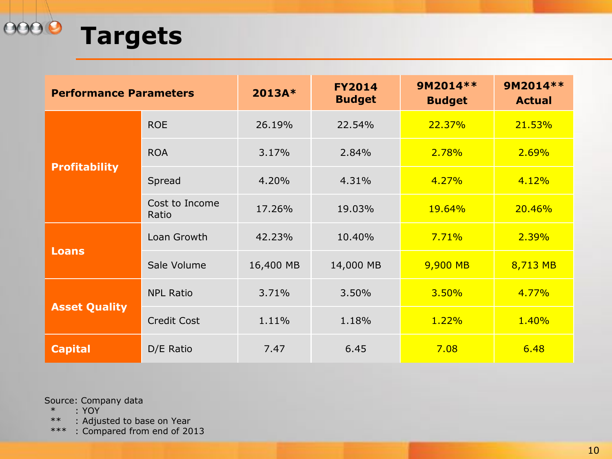

| <b>Performance Parameters</b> |                         | 2013A*    | <b>FY2014</b><br><b>Budget</b> | 9M2014 **<br><b>Budget</b> | 9M2014 **<br><b>Actual</b> |
|-------------------------------|-------------------------|-----------|--------------------------------|----------------------------|----------------------------|
| <b>Profitability</b>          | <b>ROE</b>              | 26.19%    | 22.54%                         | 22.37%                     | 21.53%                     |
|                               | <b>ROA</b>              | 3.17%     | 2.84%                          | 2.78%                      | 2.69%                      |
|                               | Spread                  | 4.20%     | 4.31%                          | 4.27%                      | 4.12%                      |
|                               | Cost to Income<br>Ratio | 17.26%    | 19.03%                         | <b>19.64%</b>              | 20.46%                     |
| <b>Loans</b>                  | Loan Growth             | 42.23%    | 10.40%                         | 7.71%                      | 2.39%                      |
|                               | Sale Volume             | 16,400 MB | 14,000 MB                      | 9,900 MB                   | 8,713 MB                   |
| <b>Asset Quality</b>          | <b>NPL Ratio</b>        | 3.71%     | 3.50%                          | 3.50%                      | 4.77%                      |
|                               | <b>Credit Cost</b>      | 1.11%     | 1.18%                          | 1.22%                      | 1.40%                      |
| <b>Capital</b>                | D/E Ratio               | 7.47      | 6.45                           | 7.08                       | 6.48                       |

Source: Company data

 $*$  : YOY<br> $***$  : Adju : Adjusted to base on Year

\*\*\* : Compared from end of 2013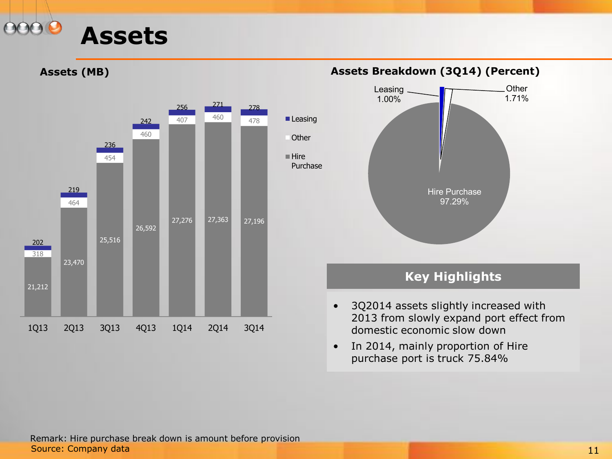

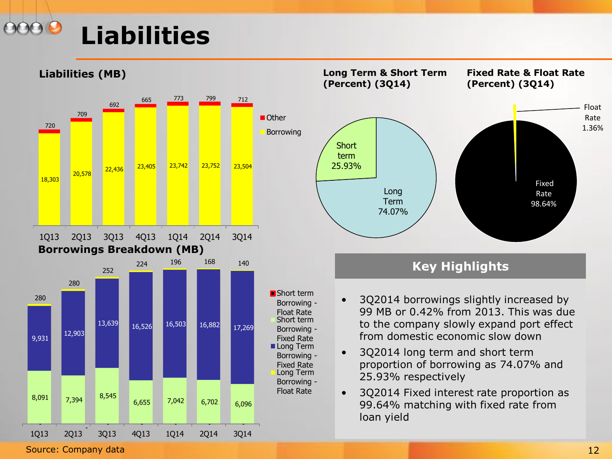### **Liabilities**





- 3Q2014 borrowings slightly increased by 99 MB or 0.42% from 2013. This was due to the company slowly expand port effect from domestic economic slow down
- 3Q2014 long term and short term proportion of borrowing as 74.07% and
- 3Q2014 Fixed interest rate proportion as 99.64% matching with fixed rate from

Source: Company data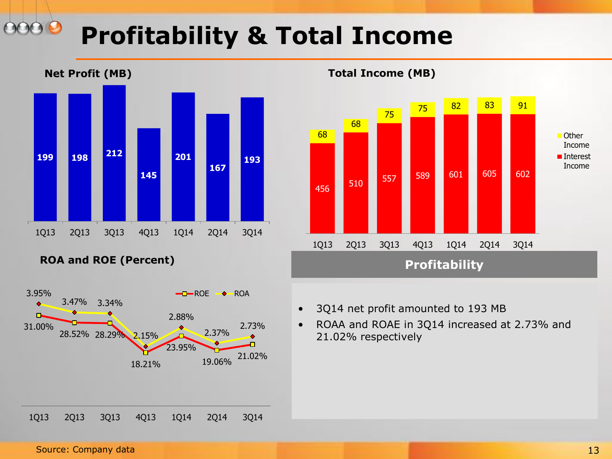### **Profitability & Total Income**







- 3Q14 net profit amounted to 193 MB
- ROAA and ROAE in 3Q14 increased at 2.73% and 21.02% respectively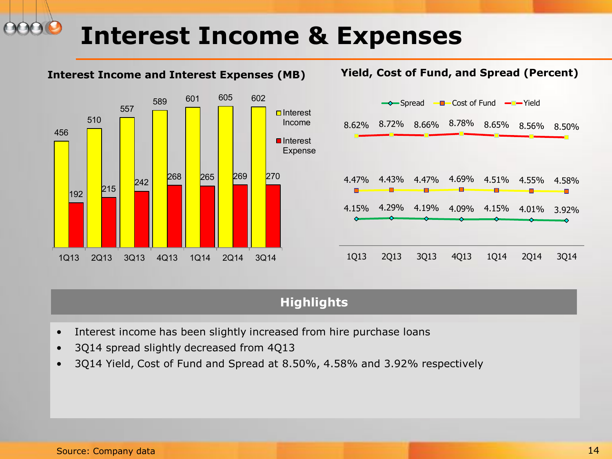#### **Interest Income & Expenses**

#### **Interest Income and Interest Expenses (MB) Yield, Cost of Fund, and Spread (Percent)** 456 510 557 <sup>589</sup> <sup>601</sup> <sup>605</sup> <sup>602</sup>  $\vert_{192}\vert$  215 2<sub>42</sub> 268 265 269 270 1Q13 2Q13 3Q13 4Q13 1Q14 2Q14 3Q14  $\Box$ Interest Income **■**Interest Expense 4.15% 4.29% 4.19% 4.09% 4.15% 4.01% 3.92% 4.47% 4.43% 4.47% 4.69% 4.51% 4.55% 4.58% 8.62% 8.72% 8.66% 8.78% 8.65% 8.56% 8.50% 1Q13 2Q13 3Q13 4Q13 1Q14 2Q14 3Q14  $\rightarrow$  Spread  $\rightarrow$  Cost of Fund  $\rightarrow$  Yield

#### **Highlights**

- Interest income has been slightly increased from hire purchase loans
- 3Q14 spread slightly decreased from 4Q13
- 3Q14 Yield, Cost of Fund and Spread at 8.50%, 4.58% and 3.92% respectively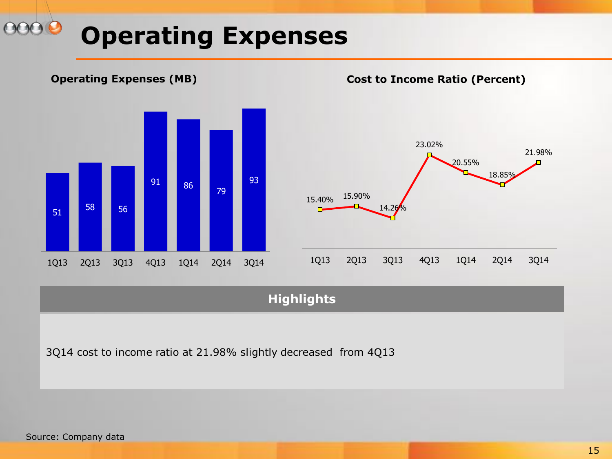### **Operating Expenses**



#### **Highlights**

3Q14 cost to income ratio at 21.98% slightly decreased from 4Q13

Source: Company data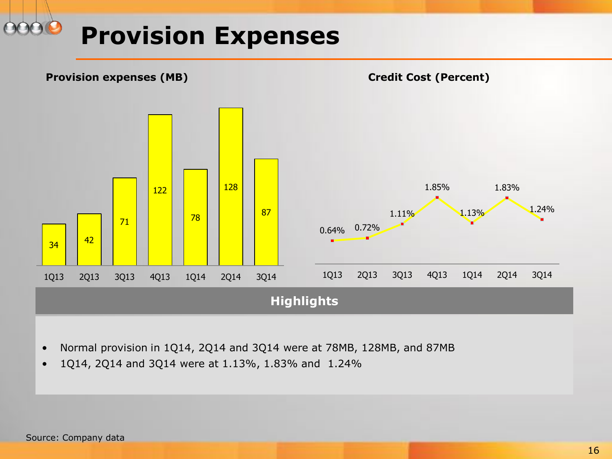#### **Provision Expenses**



- Normal provision in 1Q14, 2Q14 and 3Q14 were at 78MB, 128MB, and 87MB
- 1Q14, 2Q14 and 3Q14 were at 1.13%, 1.83% and 1.24%

Source: Company data